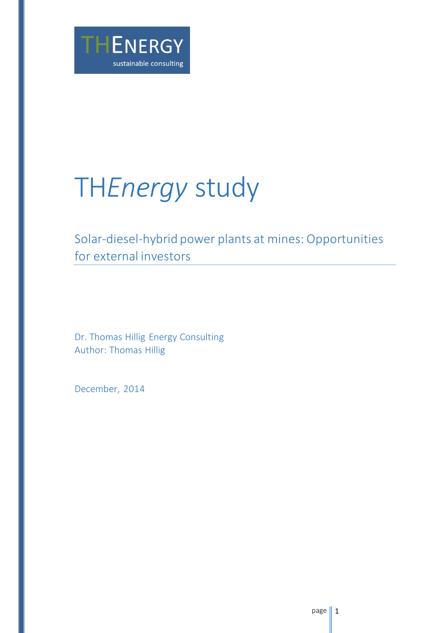

# TH*Energy* study

## Solar-diesel-hybrid power plants at mines: Opportunities for external investors

Dr. Thomas Hillig Energy Consulting Author: Thomas Hillig

December, 2014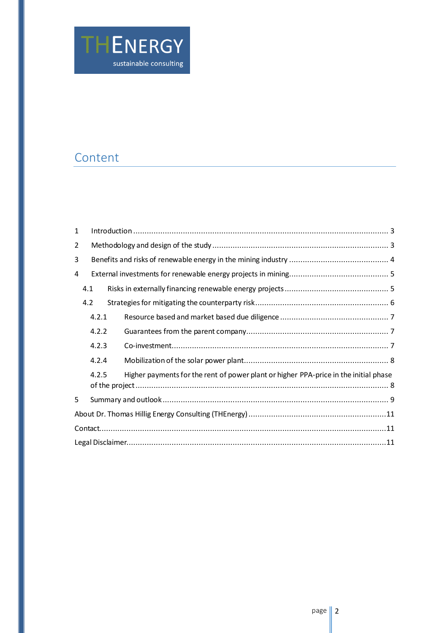

## Content

| $\mathbf{1}$ |       |                                                                                      |  |  |  |  |
|--------------|-------|--------------------------------------------------------------------------------------|--|--|--|--|
| 2            |       |                                                                                      |  |  |  |  |
| 3            |       |                                                                                      |  |  |  |  |
| 4            |       |                                                                                      |  |  |  |  |
|              | 4.1   |                                                                                      |  |  |  |  |
|              | 4.2   |                                                                                      |  |  |  |  |
|              | 4.2.1 |                                                                                      |  |  |  |  |
|              | 4.2.2 |                                                                                      |  |  |  |  |
|              | 4.2.3 |                                                                                      |  |  |  |  |
|              | 4.2.4 |                                                                                      |  |  |  |  |
|              | 4.2.5 | Higher payments for the rent of power plant or higher PPA-price in the initial phase |  |  |  |  |
| 5            |       |                                                                                      |  |  |  |  |
|              |       |                                                                                      |  |  |  |  |
|              |       |                                                                                      |  |  |  |  |
|              |       |                                                                                      |  |  |  |  |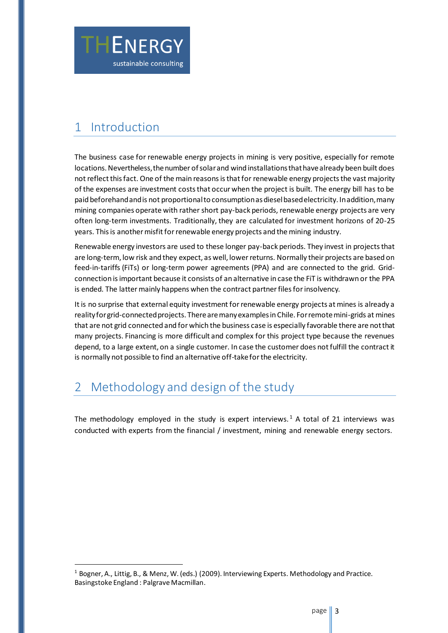

## <span id="page-2-0"></span>1 Introduction

j

The business case for renewable energy projects in mining is very positive, especially for remote locations. Nevertheless, the number of solar and wind installations that have already been built does not reflect this fact. One of the main reasons is that for renewable energy projects the vast majority of the expenses are investment costs that occur when the project is built. The energy bill has to be paid beforehand and is not proportional to consumption as diesel based electricity. In addition, many mining companies operate with rather short pay-back periods, renewable energy projects are very often long-term investments. Traditionally, they are calculated for investment horizons of 20-25 years. This is another misfit for renewable energy projects and the mining industry.

Renewable energy investors are used to these longer pay-back periods. They invest in projects that are long-term, low risk and they expect, as well, lower returns. Normally their projects are based on feed-in-tariffs (FiTs) or long-term power agreements (PPA) and are connected to the grid. Gridconnection is important because it consists of an alternative in case the FiT is withdrawn or the PPA is ended. The latter mainly happens when the contract partner files for insolvency.

It is no surprise that external equity investment for renewable energy projects at mines is already a reality for grid-connected projects. There are many examples in Chile. For remote mini-grids at mines that are not grid connected and for which the business case is especially favorable there are not that many projects. Financing is more difficult and complex for this project type because the revenues depend, to a large extent, on a single customer. In case the customer does not fulfill the contract it is normally not possible to find an alternative off-take for the electricity.

## <span id="page-2-1"></span>Methodology and design of the study

The methodology employed in the study is expert interviews.<sup>1</sup> A total of 21 interviews was conducted with experts from the financial / investment, mining and renewable energy sectors.

 $1$  Bogner, A., Littig, B., & Menz, W. (eds.) (2009). Interviewing Experts. Methodology and Practice. Basingstoke England : Palgrave Macmillan.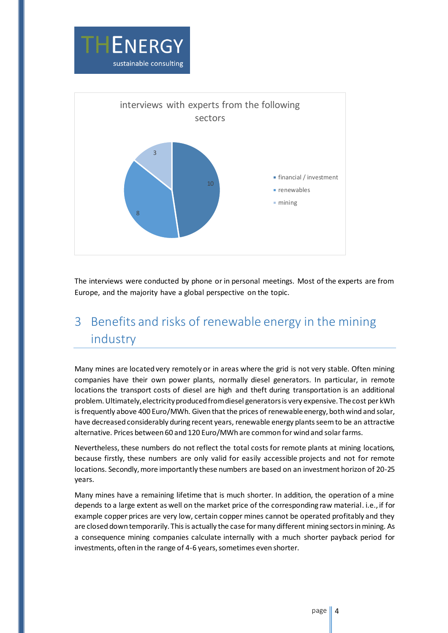



The interviews were conducted by phone or in personal meetings. Most of the experts are from Europe, and the majority have a global perspective on the topic.

# <span id="page-3-0"></span>3 Benefits and risks of renewable energy in the mining industry

Many mines are located very remotely or in areas where the grid is not very stable. Often mining companies have their own power plants, normally diesel generators. In particular, in remote locations the transport costs of diesel are high and theft during transportation is an additional problem. Ultimately,electricity produced from diesel generators is very expensive. The cost per kWh is frequently above 400 Euro/MWh. Given that the prices of renewable energy, both wind and solar, have decreased considerably during recent years, renewable energy plants seem to be an attractive alternative. Prices between 60 and 120 Euro/MWh are common for wind and solar farms.

Nevertheless, these numbers do not reflect the total costs for remote plants at mining locations, because firstly, these numbers are only valid for easily accessible projects and not for remote locations. Secondly, more importantly these numbers are based on an investment horizon of 20-25 years.

Many mines have a remaining lifetime that is much shorter. In addition, the operation of a mine depends to a large extent as well on the market price of the corresponding raw material. i.e., if for example copper prices are very low, certain copper mines cannot be operated profitably and they are closed down temporarily. This is actually the case for many different mining sectors in mining. As a consequence mining companies calculate internally with a much shorter payback period for investments, often in the range of 4-6 years, sometimes even shorter.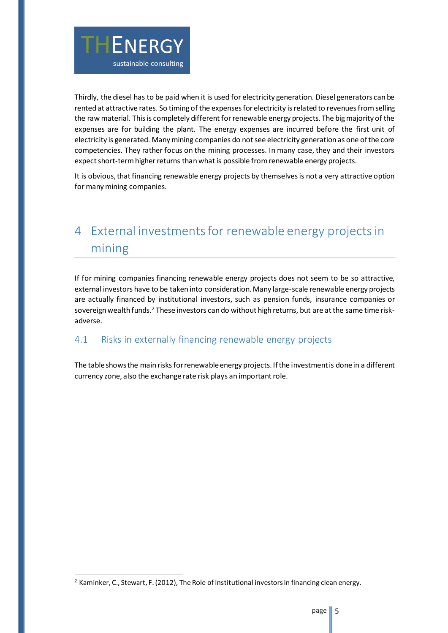

Thirdly, the diesel has to be paid when it is used for electricity generation. Diesel generators can be rented at attractive rates. So timing of the expenses for electricity is related to revenues from selling the raw material. This is completely different for renewable energy projects. The big majority of the expenses are for building the plant. The energy expenses are incurred before the first unit of electricity is generated. Many mining companies do not see electricity generation as one of the core competencies. They rather focus on the mining processes. In many case, they and their investors expect short-term higher returns thanwhat is possible from renewable energy projects.

It is obvious, that financing renewable energy projects by themselves is not a very attractive option for many mining companies.

# <span id="page-4-0"></span>4 External investments for renewable energy projects in mining

If for mining companies financing renewable energy projects does not seem to be so attractive, external investors have to be taken into consideration. Many large-scale renewable energy projects are actually financed by institutional investors, such as pension funds, insurance companies or sovereign wealth funds.<sup>2</sup> These investors can do without high returns, but are at the same time riskadverse.

#### <span id="page-4-1"></span>4.1 Risks in externally financing renewable energy projects

The table shows the main risks for renewable energy projects. If the investment is done in a different currency zone, also the exchange rate risk plays an important role.

 $\overline{a}$ 

 $2$  Kaminker, C., Stewart, F. (2012), The Role of institutional investors in financing clean energy.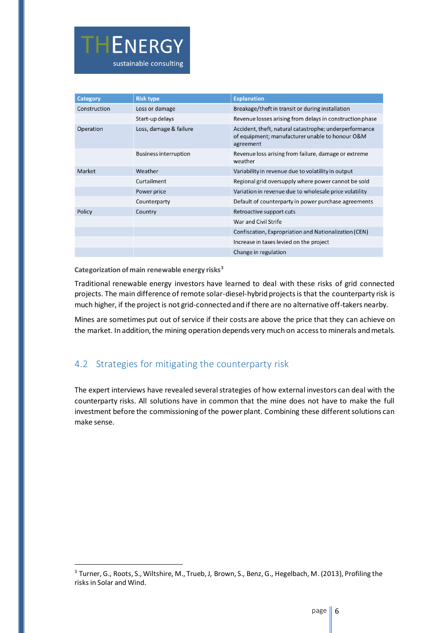

| <b>Category</b> | <b>Risk type</b>             | <b>Explanation</b>                                                                                                     |  |
|-----------------|------------------------------|------------------------------------------------------------------------------------------------------------------------|--|
| Construction    | Loss or damage               | Breakage/theft in transit or during installation                                                                       |  |
|                 | Start-up delays              | Revenue losses arising from delays in construction phase                                                               |  |
| Operation       | Loss, damage & failure       | Accident, theft, natural catastrophe; underperformance<br>of equipment; manufacturer unable to honour O&M<br>agreement |  |
|                 | <b>Business interruption</b> | Revenue loss arising from failure, damage or extreme<br>weather                                                        |  |
| <b>Market</b>   | Weather                      | Variability in revenue due to volatility in output                                                                     |  |
|                 | Curtailment                  | Regional grid oversupply where power cannot be sold                                                                    |  |
|                 | Power price                  | Variation in revenue due to wholesale price volatility                                                                 |  |
|                 | Counterparty                 | Default of counterparty in power purchase agreements                                                                   |  |
| Policy          | Country                      | Retroactive support cuts                                                                                               |  |
|                 |                              | War and Civil Strife                                                                                                   |  |
|                 |                              | Confiscation, Expropriation and Nationalization (CEN)                                                                  |  |
|                 |                              | Increase in taxes levied on the project                                                                                |  |
|                 |                              | Change in regulation                                                                                                   |  |

**Categorization of main renewable energy risks<sup>3</sup>**

j

Traditional renewable energy investors have learned to deal with these risks of grid connected projects. The main difference of remote solar-diesel-hybrid projects is that the counterparty risk is much higher, if the project is not grid-connected and if there are no alternative off-takers nearby.

Mines are sometimes put out of service if their costs are above the price that they can achieve on the market. In addition, the mining operation depends very much on access to minerals and metals.

#### <span id="page-5-0"></span>4.2 Strategies for mitigating the counterparty risk

The expert interviews have revealed several strategies of how external investors can deal with the counterparty risks. All solutions have in common that the mine does not have to make the full investment before the commissioning of the power plant. Combining these different solutions can make sense.

<sup>3</sup> Turner, G., Roots, S., Wiltshire, M., Trueb, J, Brown, S., Benz, G., Hegelbach, M. (2013), Profiling the risks in Solar and Wind.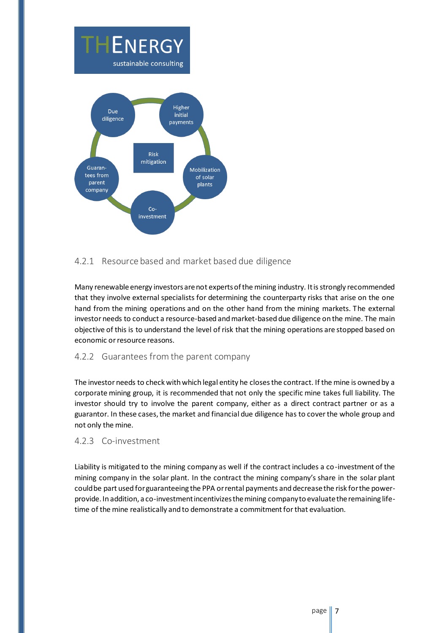

#### <span id="page-6-0"></span>4.2.1 Resource based and market based due diligence

Many renewable energy investors are not experts of the mining industry. It is strongly recommended that they involve external specialists for determining the counterparty risks that arise on the one hand from the mining operations and on the other hand from the mining markets. The external investor needs to conduct a resource-based and market-based due diligence on the mine. The main objective of this is to understand the level of risk that the mining operations are stopped based on economic or resource reasons.

#### <span id="page-6-1"></span>4.2.2 Guarantees from the parent company

The investor needs to check with which legal entity he closes the contract. If the mine is owned by a corporate mining group, it is recommended that not only the specific mine takes full liability. The investor should try to involve the parent company, either as a direct contract partner or as a guarantor. In these cases, the market and financial due diligence has to cover the whole group and not only the mine.

#### <span id="page-6-2"></span>4.2.3 Co-investment

Liability is mitigated to the mining company as well if the contract includes a co-investment of the mining company in the solar plant. In the contract the mining company's share in the solar plant could be part used for guaranteeing the PPA or rental payments and decrease the risk for the powerprovide. In addition, a co-investment incentivizes the mining company to evaluate the remaining lifetime of the mine realistically and to demonstrate a commitment for that evaluation.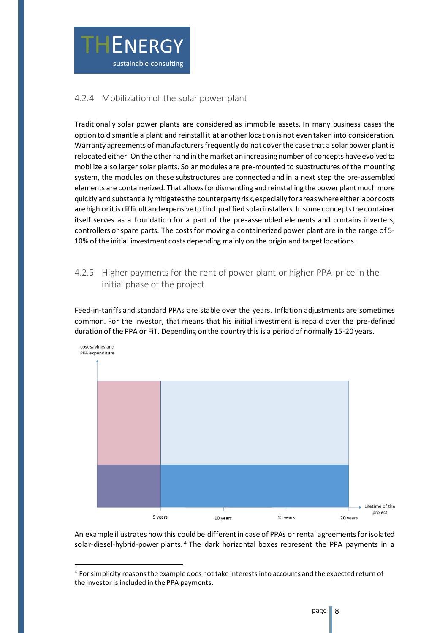

#### <span id="page-7-0"></span>4.2.4 Mobilization of the solar power plant

Traditionally solar power plants are considered as immobile assets. In many business cases the option to dismantle a plant and reinstall it at another location is not even taken into consideration. Warranty agreements of manufacturers frequently do not cover the case that a solar power plant is relocated either. On the other hand in the market an increasing number of concepts have evolved to mobilize also larger solar plants. Solar modules are pre-mounted to substructures of the mounting system, the modules on these substructures are connected and in a next step the pre-assembled elements are containerized. That allows for dismantling and reinstalling the power plant much more quickly and substantially mitigates the counterparty risk, especially for areas where either labor costs are high or it is difficult and expensive to find qualified solar installers. In some concepts the container itself serves as a foundation for a part of the pre-assembled elements and contains inverters, controllers or spare parts. The costs for moving a containerized power plant are in the range of 5- 10% of the initial investment costs depending mainly on the origin and target locations.

#### <span id="page-7-1"></span>4.2.5 Higher payments for the rent of power plant or higher PPA-price in the initial phase of the project

Feed-in-tariffs and standard PPAs are stable over the years. Inflation adjustments are sometimes common. For the investor, that means that his initial investment is repaid over the pre-defined duration of the PPA or FiT. Depending on the country this is a period of normally 15-20 years.



An example illustrates how this could be different in case of PPAs or rental agreements for isolated solar-diesel-hybrid-power plants.<sup>4</sup> The dark horizontal boxes represent the PPA payments in a

j

<sup>&</sup>lt;sup>4</sup> For simplicity reasons the example does not take interests into accounts and the expected return of the investor is included in the PPA payments.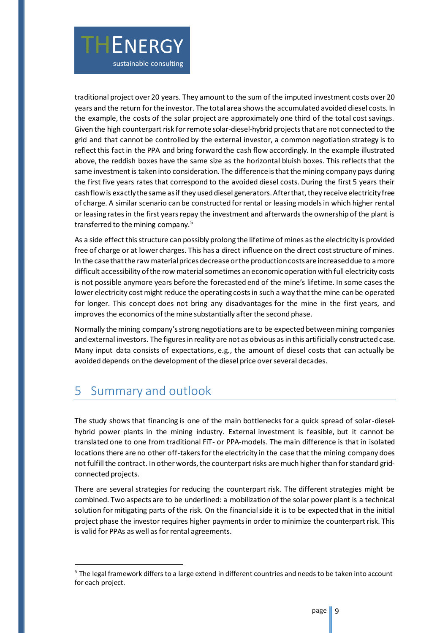

As a side effect this structure can possibly prolong the lifetime of mines as the electricity is provided free of charge or at lower charges. This has a direct influence on the direct cost structure of mines. In the case that the raw material prices decreaseor the production costs are increased due to a more difficult accessibility of the row material sometimes an economic operation with full electricity costs is not possible anymore years before the forecasted end of the mine's lifetime. In some cases the lower electricity cost might reduce the operating costs in such a way that the mine can be operated for longer. This concept does not bring any disadvantages for the mine in the first years, and improves the economics of the mine substantially after the second phase.

Normally the mining company's strong negotiations are to be expected between mining companies and external investors. The figures in reality are not as obvious as in this artificially constructed case. Many input data consists of expectations, e.g., the amount of diesel costs that can actually be avoided depends on the development of the diesel price over several decades.

### <span id="page-8-0"></span>5 Summary and outlook

THENERGY

sustainable consulting

j

The study shows that financing is one of the main bottlenecks for a quick spread of solar-dieselhybrid power plants in the mining industry. External investment is feasible, but it cannot be translated one to one from traditional FiT- or PPA-models. The main difference is that in isolated locations there are no other off-takers for the electricity in the case that the mining company does not fulfill the contract. In other words, the counterpart risks are much higher than for standard gridconnected projects.

There are several strategies for reducing the counterpart risk. The different strategies might be combined. Two aspects are to be underlined: a mobilization of the solar power plant is a technical solution for mitigating parts of the risk. On the financial side it is to be expected that in the initial project phase the investor requires higher payments in order to minimize the counterpart risk. This is valid for PPAs as well as for rental agreements.

<sup>&</sup>lt;sup>5</sup> The legal framework differs to a large extend in different countries and needs to be taken into account for each project.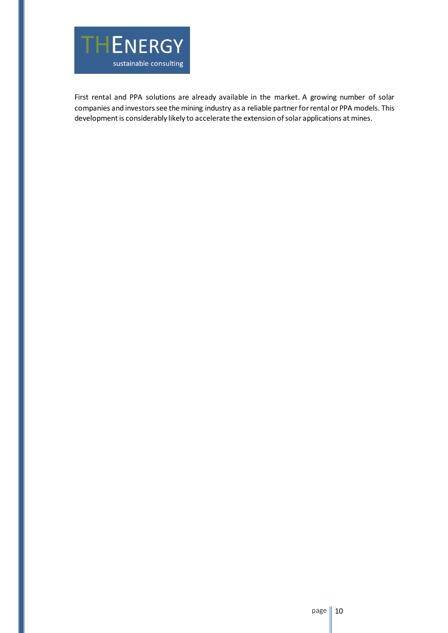

First rental and PPA solutions are already available in the market. A growing number of solar companies and investors see the mining industry as a reliable partner for rental or PPA models. This development is considerably likely to accelerate the extension of solar applications at mines.